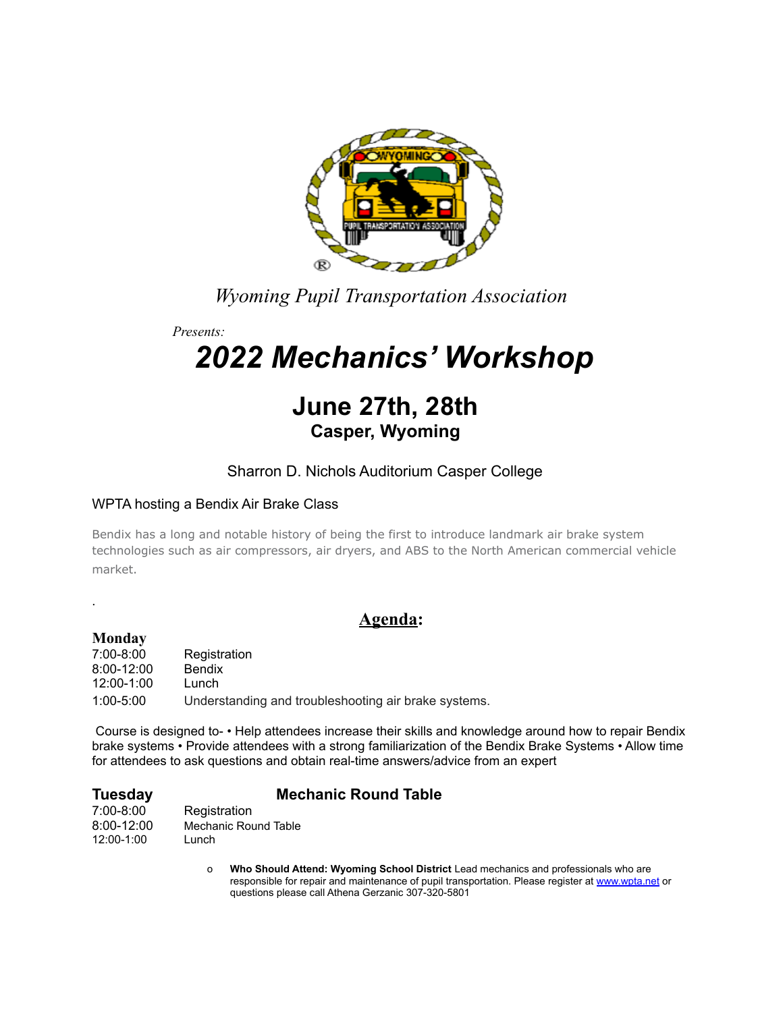

*Wyoming Pupil Transportation Association*

*Presents:*

# *2022 Mechanics' Workshop*

## **June 27th, 28th Casper, Wyoming**

### Sharron D. Nichols Auditorium Casper College

#### WPTA hosting a Bendix Air Brake Class

Bendix has a long and notable history of being the first to introduce landmark air brake system technologies such as air compressors, air dryers, and ABS to the North American commercial vehicle market.

**Agenda:**

#### **Monday**

.

7:00-8:00 Registration 8:00-12:00 Bendix 12:00-1:00 Lunch 1:00-5:00 Understanding and troubleshooting air brake systems.

Course is designed to- • Help attendees increase their skills and knowledge around how to repair Bendix brake systems • Provide attendees with a strong familiarization of the Bendix Brake Systems • Allow time for attendees to ask questions and obtain real-time answers/advice from an expert

### **Tuesday Mechanic Round Table**

7:00-8:00 Registration<br>8:00-12:00 Mechanic Rou Mechanic Round Table 12:00-1:00 Lunch

> o **Who Should Attend: Wyoming School District** Lead mechanics and professionals who are responsible for repair and maintenance of pupil transportation. Please register at [www.wpta.net](http://www.wpta.net) or questions please call Athena Gerzanic 307-320-5801